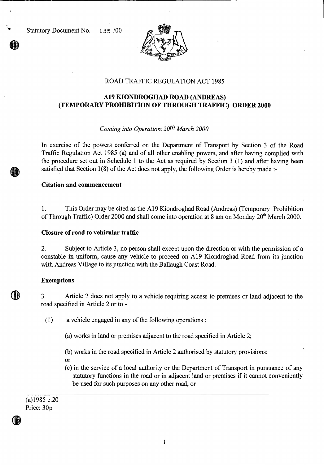Statutory Document No. 135 /00



### ROAD TRAFFIC REGULATION ACT 1985

# **A19 KIONDROGHAD ROAD (ANDREAS) (TEMPORARY PROHIBITION OF THROUGH TRAFFIC) ORDER 2000**

## *Coming into Operation: 20th March 2000*

In exercise of the powers conferred on the Department of Transport by Section 3 of the Road Traffic Regulation Act 1985 (a) and of all other enabling powers, and after having complied with the procedure set out in Schedule 1 to the Act as required by Section 3 (1) and after having been satisfied that Section 1(8) of the Act does not apply, the following Order is hereby made :-

#### **Citation and commencement**

1. This Order may be cited as the A19 Kiondroghad Road (Andreas) (Temporary Prohibition of Through Traffic) Order 2000 and shall come into operation at 8 am on Monday  $20<sup>th</sup>$  March 2000.

### **Closure of road to vehicular traffic**

2. Subject to Article 3, no person shall except upon the direction or with the permission of a constable in uniform, cause any vehicle to proceed on A19 Kiondroghad Road from its junction with Andreas Village to its junction with the Ballaugh Coast Road.

#### **Exemptions**

3. Article 2 does not apply to a vehicle requiring access to premises or land adjacent to the road specified in Article 2 or to -

(1) a vehicle engaged in any of the following operations :

(a) works in land or premises adjacent to the road specified in Article 2;

(b) works in the road specified in Article 2 authorised by statutory provisions;

Or

(c) in the service of a local authority or the Department of Transport in pursuance of any statutory functions in the road or in adjacent land or premises if it cannot conveniently be used for such purposes on any other road, or

(a)1985 c.20 Price: 30p